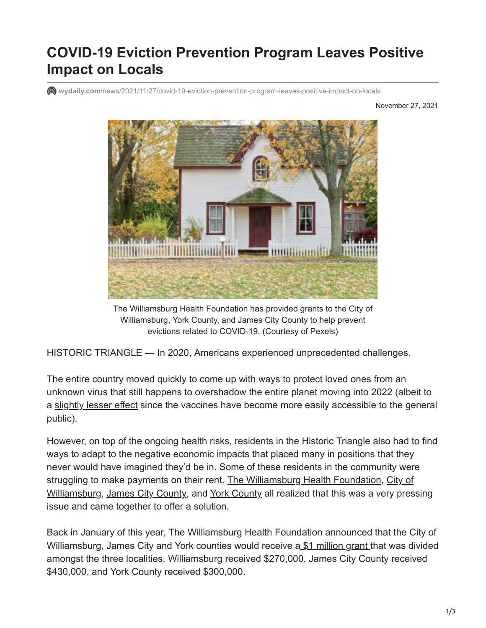## **COVID-19 Eviction Prevention Program Leaves Positive Impact on Locals**

**wydaily.com**[/news/2021/11/27/covid-19-eviction-prevention-program-leaves-positive-impact-on-locals](https://wydaily.com/news/2021/11/27/covid-19-eviction-prevention-program-leaves-positive-impact-on-locals/)

November 27, 2021



The Williamsburg Health Foundation has provided grants to the City of Williamsburg, York County, and James City County to help prevent evictions related to COVID-19. (Courtesy of Pexels)

HISTORIC TRIANGLE — In 2020, Americans experienced unprecedented challenges.

The entire country moved quickly to come up with ways to protect loved ones from an unknown virus that still happens to overshadow the entire planet moving into 2022 (albeit to a [slightly lesser effect](https://wydaily.com/alerts/2021/11/23/covid-19-tracker-nov-23-2021/) since the vaccines have become more easily accessible to the general public).

However, on top of the ongoing health risks, residents in the Historic Triangle also had to find ways to adapt to the negative economic impacts that placed many in positions that they never would have imagined they'd be in. Some of these residents in the community were [struggling to make payments on their rent. The Williamsburg Health Foundation, City of](https://www.williamsburgva.gov/) Williamsburg, [James City County](https://www.jamescitycountyva.gov/), and [York County](https://www.yorkcounty.gov/) all realized that this was a very pressing issue and came together to offer a solution.

Back in January of this year, The Williamsburg Health Foundation announced that the City of Williamsburg, James City and York counties would receive a [\\$1 million grant](https://wydaily.com/local-news/2021/01/25/williamsburg-health-foundation-announces-1m-grant-to-prevent-renter-eviction-in-historic-triangle/) that was divided amongst the three localities. Williamsburg received \$270,000, James City County received \$430,000, and York County received \$300,000.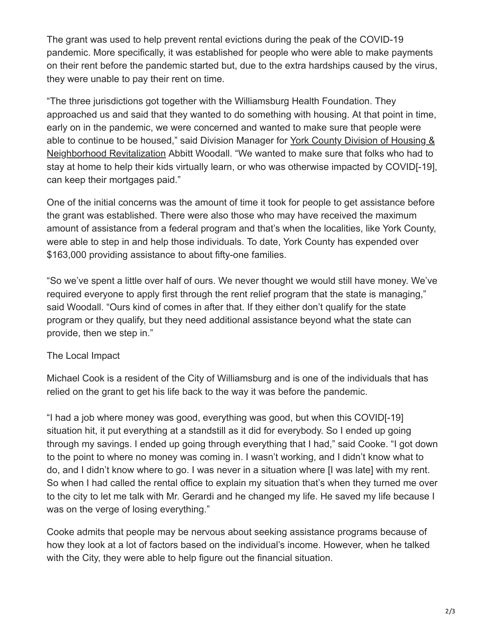The grant was used to help prevent rental evictions during the peak of the COVID-19 pandemic. More specifically, it was established for people who were able to make payments on their rent before the pandemic started but, due to the extra hardships caused by the virus, they were unable to pay their rent on time.

"The three jurisdictions got together with the Williamsburg Health Foundation. They approached us and said that they wanted to do something with housing. At that point in time, early on in the pandemic, we were concerned and wanted to make sure that people were [able to continue to be housed," said Division Manager for York County Division of Housing &](https://www.yorkcounty.gov/575/Housing-Neighborhood-Revitalization) Neighborhood Revitalization Abbitt Woodall. "We wanted to make sure that folks who had to stay at home to help their kids virtually learn, or who was otherwise impacted by COVID[-19], can keep their mortgages paid."

One of the initial concerns was the amount of time it took for people to get assistance before the grant was established. There were also those who may have received the maximum amount of assistance from a federal program and that's when the localities, like York County, were able to step in and help those individuals. To date, York County has expended over \$163,000 providing assistance to about fifty-one families.

"So we've spent a little over half of ours. We never thought we would still have money. We've required everyone to apply first through the rent relief program that the state is managing," said Woodall. "Ours kind of comes in after that. If they either don't qualify for the state program or they qualify, but they need additional assistance beyond what the state can provide, then we step in."

## The Local Impact

Michael Cook is a resident of the City of Williamsburg and is one of the individuals that has relied on the grant to get his life back to the way it was before the pandemic.

"I had a job where money was good, everything was good, but when this COVID[-19] situation hit, it put everything at a standstill as it did for everybody. So I ended up going through my savings. I ended up going through everything that I had," said Cooke. "I got down to the point to where no money was coming in. I wasn't working, and I didn't know what to do, and I didn't know where to go. I was never in a situation where [I was late] with my rent. So when I had called the rental office to explain my situation that's when they turned me over to the city to let me talk with Mr. Gerardi and he changed my life. He saved my life because I was on the verge of losing everything."

Cooke admits that people may be nervous about seeking assistance programs because of how they look at a lot of factors based on the individual's income. However, when he talked with the City, they were able to help figure out the financial situation.